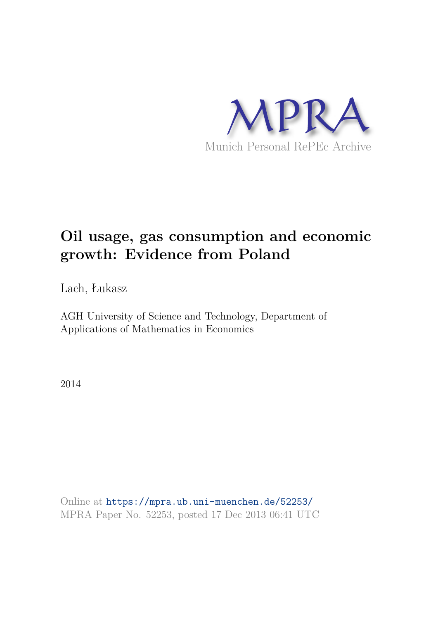

# **Oil usage, gas consumption and economic growth: Evidence from Poland**

Lach, Łukasz

AGH University of Science and Technology, Department of Applications of Mathematics in Economics

2014

Online at https://mpra.ub.uni-muenchen.de/52253/ MPRA Paper No. 52253, posted 17 Dec 2013 06:41 UTC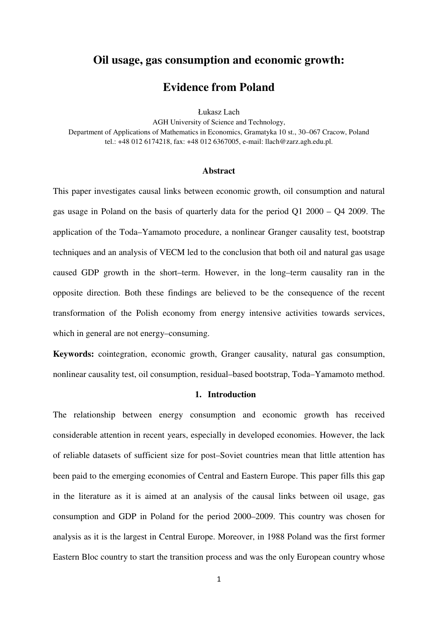# **Oil usage, gas consumption and economic growth:**

# **Evidence from Poland**

Łukasz Lach

AGH University of Science and Technology, Department of Applications of Mathematics in Economics, Gramatyka 10 st., 30–067 Cracow, Poland tel.: +48 012 6174218, fax: +48 012 6367005, e-mail: llach@zarz.agh.edu.pl.

#### **Abstract**

This paper investigates causal links between economic growth, oil consumption and natural gas usage in Poland on the basis of quarterly data for the period Q1 2000 – Q4 2009. The application of the Toda–Yamamoto procedure, a nonlinear Granger causality test, bootstrap techniques and an analysis of VECM led to the conclusion that both oil and natural gas usage caused GDP growth in the short–term. However, in the long–term causality ran in the opposite direction. Both these findings are believed to be the consequence of the recent transformation of the Polish economy from energy intensive activities towards services, which in general are not energy–consuming.

**Keywords:** cointegration, economic growth, Granger causality, natural gas consumption, nonlinear causality test, oil consumption, residual–based bootstrap, Toda–Yamamoto method.

#### **1. Introduction**

The relationship between energy consumption and economic growth has received considerable attention in recent years, especially in developed economies. However, the lack of reliable datasets of sufficient size for post–Soviet countries mean that little attention has been paid to the emerging economies of Central and Eastern Europe. This paper fills this gap in the literature as it is aimed at an analysis of the causal links between oil usage, gas consumption and GDP in Poland for the period 2000–2009. This country was chosen for analysis as it is the largest in Central Europe. Moreover, in 1988 Poland was the first former Eastern Bloc country to start the transition process and was the only European country whose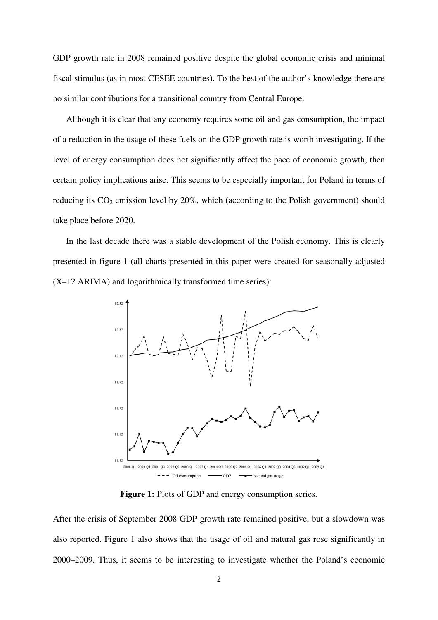GDP growth rate in 2008 remained positive despite the global economic crisis and minimal fiscal stimulus (as in most CESEE countries). To the best of the author's knowledge there are no similar contributions for a transitional country from Central Europe.

Although it is clear that any economy requires some oil and gas consumption, the impact of a reduction in the usage of these fuels on the GDP growth rate is worth investigating. If the level of energy consumption does not significantly affect the pace of economic growth, then certain policy implications arise. This seems to be especially important for Poland in terms of reducing its  $CO_2$  emission level by 20%, which (according to the Polish government) should take place before 2020.

In the last decade there was a stable development of the Polish economy. This is clearly presented in figure 1 (all charts presented in this paper were created for seasonally adjusted (X–12 ARIMA) and logarithmically transformed time series):



Figure 1: Plots of GDP and energy consumption series.

After the crisis of September 2008 GDP growth rate remained positive, but a slowdown was also reported. Figure 1 also shows that the usage of oil and natural gas rose significantly in 2000–2009. Thus, it seems to be interesting to investigate whether the Poland's economic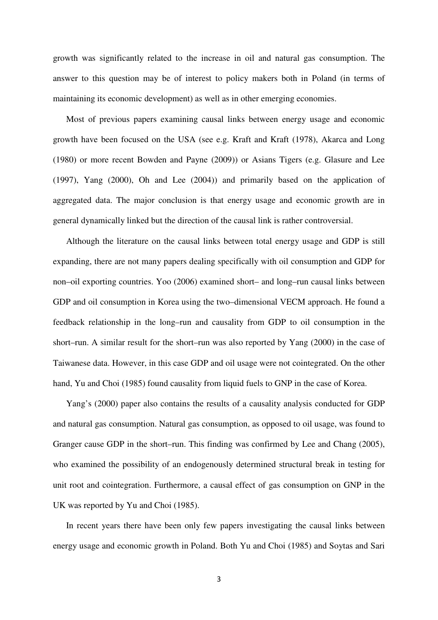growth was significantly related to the increase in oil and natural gas consumption. The answer to this question may be of interest to policy makers both in Poland (in terms of maintaining its economic development) as well as in other emerging economies.

Most of previous papers examining causal links between energy usage and economic growth have been focused on the USA (see e.g. Kraft and Kraft (1978), Akarca and Long (1980) or more recent Bowden and Payne (2009)) or Asians Tigers (e.g. Glasure and Lee (1997), Yang (2000), Oh and Lee (2004)) and primarily based on the application of aggregated data. The major conclusion is that energy usage and economic growth are in general dynamically linked but the direction of the causal link is rather controversial.

Although the literature on the causal links between total energy usage and GDP is still expanding, there are not many papers dealing specifically with oil consumption and GDP for non–oil exporting countries. Yoo (2006) examined short– and long–run causal links between GDP and oil consumption in Korea using the two–dimensional VECM approach. He found a feedback relationship in the long–run and causality from GDP to oil consumption in the short–run. A similar result for the short–run was also reported by Yang (2000) in the case of Taiwanese data. However, in this case GDP and oil usage were not cointegrated. On the other hand, Yu and Choi (1985) found causality from liquid fuels to GNP in the case of Korea.

Yang's (2000) paper also contains the results of a causality analysis conducted for GDP and natural gas consumption. Natural gas consumption, as opposed to oil usage, was found to Granger cause GDP in the short–run. This finding was confirmed by Lee and Chang (2005), who examined the possibility of an endogenously determined structural break in testing for unit root and cointegration. Furthermore, a causal effect of gas consumption on GNP in the UK was reported by Yu and Choi (1985).

In recent years there have been only few papers investigating the causal links between energy usage and economic growth in Poland. Both Yu and Choi (1985) and Soytas and Sari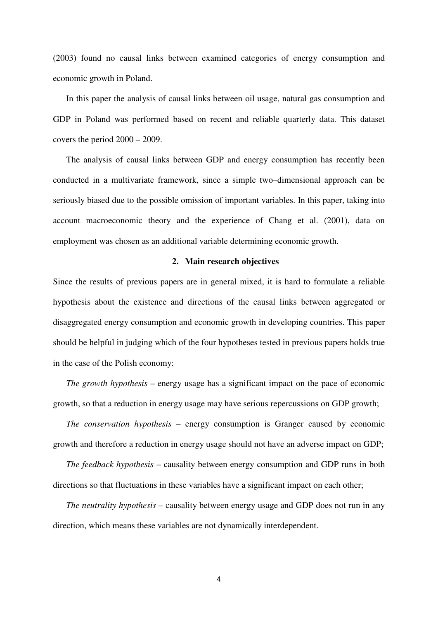(2003) found no causal links between examined categories of energy consumption and economic growth in Poland.

In this paper the analysis of causal links between oil usage, natural gas consumption and GDP in Poland was performed based on recent and reliable quarterly data. This dataset covers the period 2000 – 2009.

The analysis of causal links between GDP and energy consumption has recently been conducted in a multivariate framework, since a simple two–dimensional approach can be seriously biased due to the possible omission of important variables. In this paper, taking into account macroeconomic theory and the experience of Chang et al. (2001), data on employment was chosen as an additional variable determining economic growth.

## **2. Main research objectives**

Since the results of previous papers are in general mixed, it is hard to formulate a reliable hypothesis about the existence and directions of the causal links between aggregated or disaggregated energy consumption and economic growth in developing countries. This paper should be helpful in judging which of the four hypotheses tested in previous papers holds true in the case of the Polish economy:

*The growth hypothesis* – energy usage has a significant impact on the pace of economic growth, so that a reduction in energy usage may have serious repercussions on GDP growth;

*The conservation hypothesis* – energy consumption is Granger caused by economic growth and therefore a reduction in energy usage should not have an adverse impact on GDP;

*The feedback hypothesis* – causality between energy consumption and GDP runs in both directions so that fluctuations in these variables have a significant impact on each other;

*The neutrality hypothesis* – causality between energy usage and GDP does not run in any direction, which means these variables are not dynamically interdependent.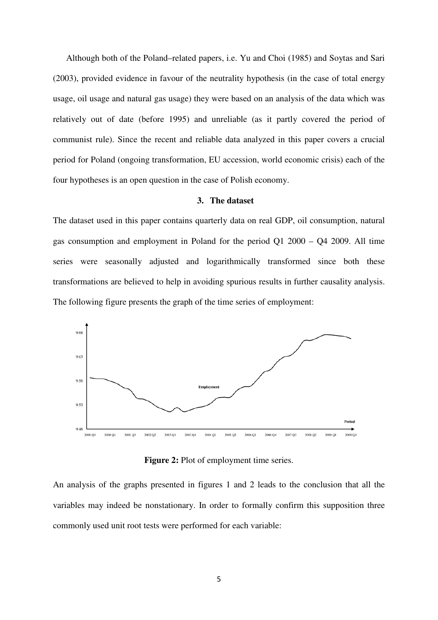Although both of the Poland–related papers, i.e. Yu and Choi (1985) and Soytas and Sari (2003), provided evidence in favour of the neutrality hypothesis (in the case of total energy usage, oil usage and natural gas usage) they were based on an analysis of the data which was relatively out of date (before 1995) and unreliable (as it partly covered the period of communist rule). Since the recent and reliable data analyzed in this paper covers a crucial period for Poland (ongoing transformation, EU accession, world economic crisis) each of the four hypotheses is an open question in the case of Polish economy.

#### **3. The dataset**

The dataset used in this paper contains quarterly data on real GDP, oil consumption, natural gas consumption and employment in Poland for the period Q1 2000 – Q4 2009. All time series were seasonally adjusted and logarithmically transformed since both these transformations are believed to help in avoiding spurious results in further causality analysis. The following figure presents the graph of the time series of employment:



**Figure 2:** Plot of employment time series.

An analysis of the graphs presented in figures 1 and 2 leads to the conclusion that all the variables may indeed be nonstationary. In order to formally confirm this supposition three commonly used unit root tests were performed for each variable: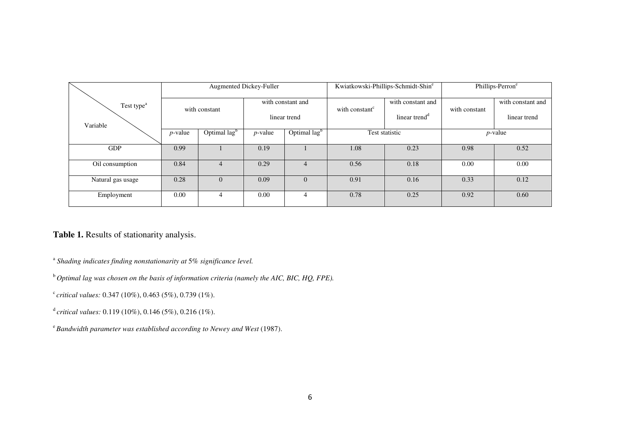|                        | Augmented Dickey-Fuller |                          |                                   |                          |                            | Kwiatkowski-Phillips-Schmidt-Shine | Phillips-Perron <sup>e</sup> |                   |
|------------------------|-------------------------|--------------------------|-----------------------------------|--------------------------|----------------------------|------------------------------------|------------------------------|-------------------|
| Test type <sup>a</sup> | with constant           |                          | with constant and<br>linear trend |                          | with constant <sup>c</sup> | with constant and                  | with constant                | with constant and |
| Variable               |                         |                          |                                   |                          |                            | linear trend <sup>d</sup>          |                              | linear trend      |
|                        | $p$ -value              | Optimal lag <sup>b</sup> | $p$ -value                        | Optimal lag <sup>b</sup> | Test statistic             |                                    | $p$ -value                   |                   |
| <b>GDP</b>             | 0.99                    |                          | 0.19                              |                          | 1.08<br>0.23               |                                    | 0.98                         | 0.52              |
| Oil consumption        | 0.84                    | 4                        | 0.29                              | $\overline{4}$           | 0.56                       | 0.18                               | 0.00                         | 0.00              |
| Natural gas usage      | 0.28                    | $\Omega$                 | 0.09                              | $\Omega$                 | 0.91                       | 0.16                               | 0.33                         | 0.12              |
| Employment             | 0.00                    | 4                        | 0.00                              | $\overline{4}$           | 0.78                       | 0.25                               | 0.92                         | 0.60              |

**Table 1.** Results of stationarity analysis.

<sup>a</sup> Shading indicates finding nonstationarity at 5% significance level.

<sup>b</sup>*Optimal lag was chosen on the basis of information criteria (namely the AIC, BIC, HQ, FPE).*

c *critical values:* 0.347 (10%), 0.463 (5%), 0.739 (1%).

<sup>d</sup>*critical values:* 0.119 (10%), 0.146 (5%), 0.216 (1%).

<sup>e</sup>*Bandwidth parameter was established according to Newey and West* (1987).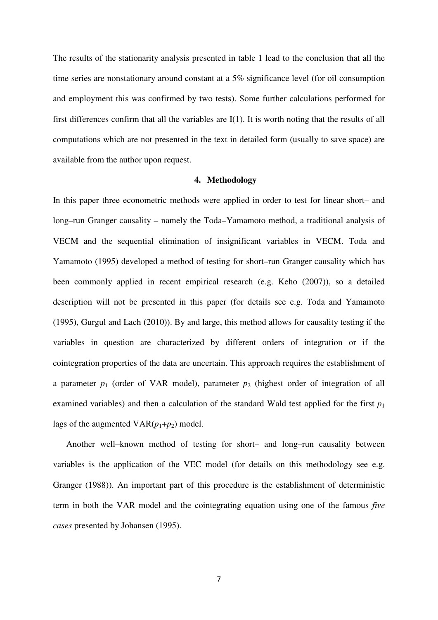The results of the stationarity analysis presented in table 1 lead to the conclusion that all the time series are nonstationary around constant at a 5% significance level (for oil consumption and employment this was confirmed by two tests). Some further calculations performed for first differences confirm that all the variables are I(1). It is worth noting that the results of all computations which are not presented in the text in detailed form (usually to save space) are available from the author upon request.

#### **4. Methodology**

In this paper three econometric methods were applied in order to test for linear short– and long–run Granger causality – namely the Toda–Yamamoto method, a traditional analysis of VECM and the sequential elimination of insignificant variables in VECM. Toda and Yamamoto (1995) developed a method of testing for short–run Granger causality which has been commonly applied in recent empirical research (e.g. Keho (2007)), so a detailed description will not be presented in this paper (for details see e.g. Toda and Yamamoto (1995), Gurgul and Lach (2010)). By and large, this method allows for causality testing if the variables in question are characterized by different orders of integration or if the cointegration properties of the data are uncertain. This approach requires the establishment of a parameter  $p_1$  (order of VAR model), parameter  $p_2$  (highest order of integration of all examined variables) and then a calculation of the standard Wald test applied for the first  $p_1$ lags of the augmented  $VAR(p_1+p_2)$  model.

Another well–known method of testing for short– and long–run causality between variables is the application of the VEC model (for details on this methodology see e.g. Granger (1988)). An important part of this procedure is the establishment of deterministic term in both the VAR model and the cointegrating equation using one of the famous *five cases* presented by Johansen (1995).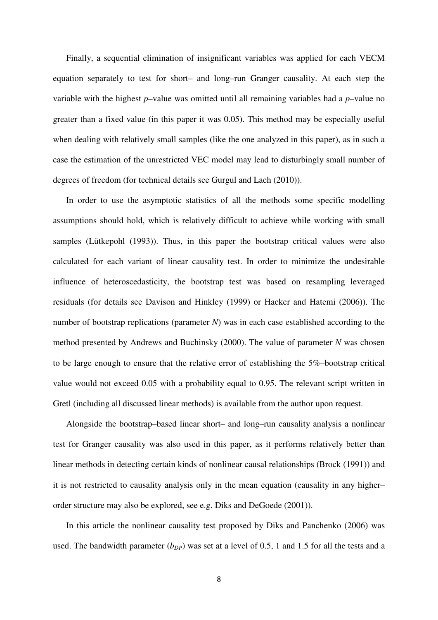Finally, a sequential elimination of insignificant variables was applied for each VECM equation separately to test for short– and long–run Granger causality. At each step the variable with the highest *p*–value was omitted until all remaining variables had a *p*–value no greater than a fixed value (in this paper it was 0.05). This method may be especially useful when dealing with relatively small samples (like the one analyzed in this paper), as in such a case the estimation of the unrestricted VEC model may lead to disturbingly small number of degrees of freedom (for technical details see Gurgul and Lach (2010)).

In order to use the asymptotic statistics of all the methods some specific modelling assumptions should hold, which is relatively difficult to achieve while working with small samples (Lütkepohl (1993)). Thus, in this paper the bootstrap critical values were also calculated for each variant of linear causality test. In order to minimize the undesirable influence of heteroscedasticity, the bootstrap test was based on resampling leveraged residuals (for details see Davison and Hinkley (1999) or Hacker and Hatemi (2006)). The number of bootstrap replications (parameter *N*) was in each case established according to the method presented by Andrews and Buchinsky (2000). The value of parameter *N* was chosen to be large enough to ensure that the relative error of establishing the 5%–bootstrap critical value would not exceed 0.05 with a probability equal to 0.95. The relevant script written in Gretl (including all discussed linear methods) is available from the author upon request.

Alongside the bootstrap–based linear short– and long–run causality analysis a nonlinear test for Granger causality was also used in this paper, as it performs relatively better than linear methods in detecting certain kinds of nonlinear causal relationships (Brock (1991)) and it is not restricted to causality analysis only in the mean equation (causality in any higher– order structure may also be explored, see e.g. Diks and DeGoede (2001)).

In this article the nonlinear causality test proposed by Diks and Panchenko (2006) was used. The bandwidth parameter  $(b_{DP})$  was set at a level of 0.5, 1 and 1.5 for all the tests and a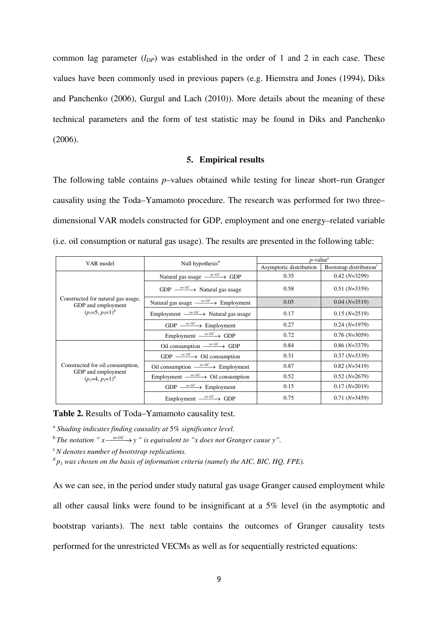common lag parameter  $(l_{DP})$  was established in the order of 1 and 2 in each case. These values have been commonly used in previous papers (e.g. Hiemstra and Jones (1994), Diks and Panchenko (2006), Gurgul and Lach (2010)). More details about the meaning of these technical parameters and the form of test statistic may be found in Diks and Panchenko (2006).

## **5. Empirical results**

The following table contains *p*–values obtained while testing for linear short–run Granger causality using the Toda–Yamamoto procedure. The research was performed for two three– dimensional VAR models constructed for GDP, employment and one energy–related variable (i.e. oil consumption or natural gas usage). The results are presented in the following table:

| VAR model                                                | Null hypothesis <sup>b</sup>                           | $p$ -value <sup>a</sup> |                                     |  |  |
|----------------------------------------------------------|--------------------------------------------------------|-------------------------|-------------------------------------|--|--|
|                                                          |                                                        | Asymptotic distribution | Bootstrap distribution <sup>c</sup> |  |  |
|                                                          | Natural gas usage $\xrightarrow{n \circ G}$ GDP        | 0.35                    | $0.42(N=3299)$                      |  |  |
|                                                          | GDP $\frac{m\ GC}{m}$ Natural gas usage                | 0.58                    | $0.51(N=3359)$                      |  |  |
| Constructed for natural gas usage,<br>GDP and employment | Natural gas usage $\frac{m\ GC}{m}$ Employment         | 0.05                    | $0.04(N=3519)$                      |  |  |
| $(p_1=5, p_2=1)^d$                                       | Employment $\frac{m\ GC}{m}$ Natural gas usage         | 0.17                    | $0.15(N=2519)$                      |  |  |
|                                                          | $GDP \xrightarrow{\textit{no GC}}$ Employment          | 0.27                    | $0.24(N=1979)$                      |  |  |
|                                                          | Employment $\frac{mo\ G}{\longrightarrow}$ GDP         | 0.72                    | $0.76(N=3059)$                      |  |  |
|                                                          | Oil consumption $\xrightarrow{\text{no GC}}$ GDP       | 0.84                    | $0.86(N=3379)$                      |  |  |
|                                                          | GDP $\frac{no \, GC}{\longrightarrow}$ Oil consumption | 0.31                    | $0.37(N=3339)$                      |  |  |
| Constructed for oil consumption,                         | Oil consumption $\frac{m\cdot GC}{m\cdot}$ Employment  | 0.87                    | $0.82(N=3419)$                      |  |  |
| GDP and employment<br>$(p_1=4, p_2=1)^d$                 | Employment $\frac{m G C}{m G}$ Oil consumption         | 0.52                    | $0.52(N=2679)$                      |  |  |
|                                                          | $GDP \xrightarrow{\textit{no GC}}$ Employment          | 0.15                    | $0.17(N=2019)$                      |  |  |
|                                                          | Employment $\frac{mo\ G}{\longrightarrow}$ GDP         | 0.75                    | $0.71(N=3459)$                      |  |  |

**Table 2.** Results of Toda–Yamamoto causality test.

<sup>a</sup> Shading indicates finding causality at 5% significance level.

 $\overline{b}$  The notation "  $x \xrightarrow{not} S$ " is equivalent to "x does not Granger cause y".

<sup>c</sup>*N denotes number of bootstrap replications.* 

d *p*<sup>1</sup> *was chosen on the basis of information criteria (namely the AIC, BIC, HQ, FPE).*

As we can see, in the period under study natural gas usage Granger caused employment while all other causal links were found to be insignificant at a 5% level (in the asymptotic and bootstrap variants). The next table contains the outcomes of Granger causality tests performed for the unrestricted VECMs as well as for sequentially restricted equations: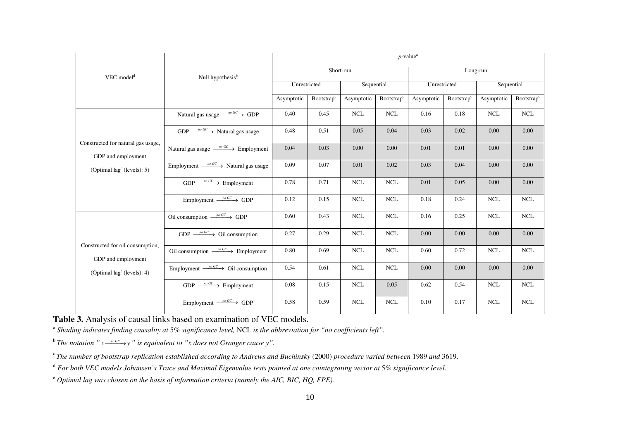| $VEC$ model <sup>d</sup>                                                                 |                                                      | $p$ -value <sup>a</sup> |                        |            |                               |              |                        |            |                        |  |
|------------------------------------------------------------------------------------------|------------------------------------------------------|-------------------------|------------------------|------------|-------------------------------|--------------|------------------------|------------|------------------------|--|
|                                                                                          | Null hypothesis <sup>b</sup>                         | Short-run               |                        |            |                               | Long-run     |                        |            |                        |  |
|                                                                                          |                                                      | Unrestricted            |                        | Sequential |                               | Unrestricted |                        | Sequential |                        |  |
|                                                                                          |                                                      | Asymptotic              | Bootstrap <sup>c</sup> | Asymptotic | <b>Bootstrap</b> <sup>c</sup> | Asymptotic   | Bootstrap <sup>c</sup> | Asymptotic | Bootstrap <sup>c</sup> |  |
|                                                                                          | Natural gas usage $\xrightarrow{n \circ G}$ GDP      | 0.40                    | 0.45                   | <b>NCL</b> | <b>NCL</b>                    | 0.16         | 0.18                   | <b>NCL</b> | <b>NCL</b>             |  |
|                                                                                          | $GDP \xrightarrow{\textit{no GC}}$ Natural gas usage | 0.48                    | 0.51                   | 0.05       | 0.04                          | 0.03         | 0.02                   | 0.00       | 0.00                   |  |
| Constructed for natural gas usage,<br>GDP and employment<br>(Optimal $lage$ (levels): 5) | Natural gas usage $\frac{m \cdot GC}{m}$ Employment  | 0.04                    | 0.03                   | 0.00       | 0.00                          | 0.01         | 0.01                   | 0.00       | 0.00                   |  |
|                                                                                          | Employment $\frac{m\ GC}{m}$ Natural gas usage       | 0.09                    | 0.07                   | 0.01       | 0.02                          | 0.03         | 0.04                   | 0.00       | 0.00                   |  |
|                                                                                          | $GDP \xrightarrow{\textit{no GC}}$ Employment        | 0.78                    | 0.71                   | <b>NCL</b> | <b>NCL</b>                    | 0.01         | 0.05                   | 0.00       | 0.00                   |  |
|                                                                                          | Employment $\xrightarrow{\text{no GC}}$ GDP          | 0.12                    | 0.15                   | <b>NCL</b> | <b>NCL</b>                    | 0.18         | 0.24                   | <b>NCL</b> | <b>NCL</b>             |  |
| Constructed for oil consumption,<br>GDP and employment<br>(Optimal $lage$ (levels): 4)   | Oil consumption $\frac{m\ GC}{m}$ GDP                | 0.60                    | 0.43                   | $\rm NCL$  | $\rm NCL$                     | 0.16         | 0.25                   | <b>NCL</b> | $\rm NCL$              |  |
|                                                                                          | GDP $\frac{m\,GC}{m}$ Oil consumption                | 0.27                    | 0.29                   | <b>NCL</b> | <b>NCL</b>                    | 0.00         | 0.00                   | 0.00       | 0.00                   |  |
|                                                                                          | Oil consumption $\frac{n \circ GC}{n}$ Employment    | 0.80                    | 0.69                   | <b>NCL</b> | <b>NCL</b>                    | 0.60         | 0.72                   | <b>NCL</b> | <b>NCL</b>             |  |
|                                                                                          | Employment $\frac{m\ GC}{m}$ Oil consumption         | 0.54                    | 0.61                   | $\rm NCL$  | <b>NCL</b>                    | 0.00         | 0.00                   | 0.00       | 0.00                   |  |
|                                                                                          | $GDP \xrightarrow{\textit{no GC}}$ Employment        | 0.08                    | 0.15                   | $\rm NCL$  | 0.05                          | 0.62         | 0.54                   | <b>NCL</b> | <b>NCL</b>             |  |
|                                                                                          | Employment $\xrightarrow{\text{no GC}}$ GDP          | 0.58                    | 0.59                   | <b>NCL</b> | <b>NCL</b>                    | 0.10         | 0.17                   | <b>NCL</b> | <b>NCL</b>             |  |

**Table 3.** Analysis of causal links based on examination of VEC models.

a *Shading indicates finding causality at* 5% *significance level,* NCL *is the abbreviation for "no coefficients left".*

 $^b$  The notation "  $x \xrightarrow{N^0} x \xrightarrow{N^0} y$  " is equivalent to "x does not Granger cause y".

<sup>c</sup>*The number of bootstrap replication established according to Andrews and Buchinsky* (2000) *procedure varied between* 1989 *and* 3619*.* 

<sup>d</sup> For both VEC models Johansen's Trace and Maximal Eigenvalue tests pointed at one cointegrating vector at 5% significance level.

<sup>e</sup> *Optimal lag was chosen on the basis of information criteria (namely the AIC, BIC, HQ, FPE).*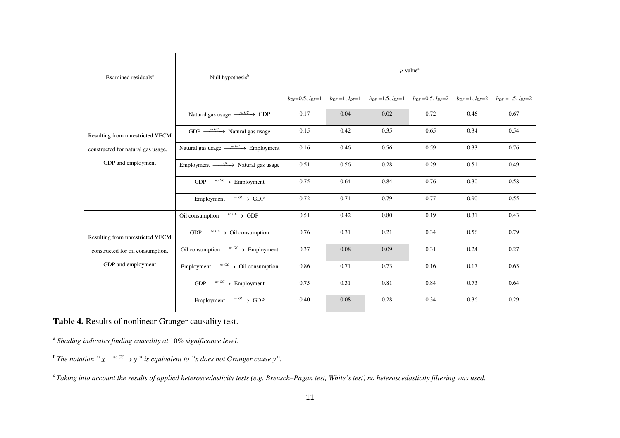| Examined residuals <sup>c</sup>                                                            | Null hypothesis <sup>b</sup>                              | $p$ -value <sup>a</sup>    |                          |                            |                            |                          |                            |  |
|--------------------------------------------------------------------------------------------|-----------------------------------------------------------|----------------------------|--------------------------|----------------------------|----------------------------|--------------------------|----------------------------|--|
|                                                                                            |                                                           | $b_{DP} = 0.5, l_{DP} = 1$ | $b_{DP} = 1, l_{DP} = 1$ | $b_{DP} = 1.5, l_{DP} = 1$ | $b_{DP} = 0.5, l_{DP} = 2$ | $b_{DP} = 1, l_{DP} = 2$ | $b_{DP} = 1.5, l_{DP} = 2$ |  |
|                                                                                            | Natural gas usage $\xrightarrow{\text{no GC}}$ GDP        | 0.17                       | 0.04                     | 0.02                       | 0.72                       | 0.46                     | 0.67                       |  |
| Resulting from unrestricted VECM                                                           | GDP $\frac{m\ GC}{m}$ Natural gas usage                   | 0.15                       | 0.42                     | 0.35                       | 0.65                       | 0.34                     | 0.54                       |  |
| constructed for natural gas usage,<br>GDP and employment                                   | Natural gas usage $\xrightarrow{\text{no GC}}$ Employment | 0.16                       | 0.46                     | 0.56                       | 0.59                       | 0.33                     | 0.76                       |  |
|                                                                                            | Employment $\frac{m\ GC}{m}$ Natural gas usage            | 0.51                       | 0.56                     | 0.28                       | 0.29                       | 0.51                     | 0.49                       |  |
|                                                                                            | $GDP \xrightarrow{\text{no GC}}$ Employment               | 0.75                       | 0.64                     | 0.84                       | 0.76                       | 0.30                     | 0.58                       |  |
|                                                                                            | Employment $\xrightarrow{\text{no GC}}$ GDP               | 0.72                       | 0.71                     | 0.79                       | 0.77                       | 0.90                     | 0.55                       |  |
|                                                                                            | Oil consumption $\frac{m G C}{m G}$ GDP                   | 0.51                       | 0.42                     | 0.80                       | 0.19                       | 0.31                     | 0.43                       |  |
| Resulting from unrestricted VECM<br>constructed for oil consumption,<br>GDP and employment | GDP $\frac{m\ GC}{m}$ Oil consumption                     | 0.76                       | 0.31                     | 0.21                       | 0.34                       | 0.56                     | 0.79                       |  |
|                                                                                            | Oil consumption $\frac{n \cdot GC}{\cdot}$ Employment     | 0.37                       | 0.08                     | 0.09                       | 0.31                       | 0.24                     | 0.27                       |  |
|                                                                                            | Employment $\frac{m\ GC}{m}$ Oil consumption              | 0.86                       | 0.71                     | 0.73                       | 0.16                       | 0.17                     | 0.63                       |  |
|                                                                                            | $GDP \xrightarrow{\text{no GC}}$ Employment               | 0.75                       | 0.31                     | 0.81                       | 0.84                       | 0.73                     | 0.64                       |  |
|                                                                                            | Employment $\xrightarrow{\text{no GC}}$ GDP               | 0.40                       | 0.08                     | 0.28                       | 0.34                       | 0.36                     | 0.29                       |  |

**Table 4.** Results of nonlinear Granger causality test.

<sup>a</sup> Shading indicates finding causality at 10% significance level.

 $^b$  The notation "  $x \xrightarrow{\textit{no GC}} y$  " is equivalent to "x does not Granger cause y".

<sup>c</sup>*Taking into account the results of applied heteroscedasticity tests (e.g. Breusch–Pagan test, White's test) no heteroscedasticity filtering was used.*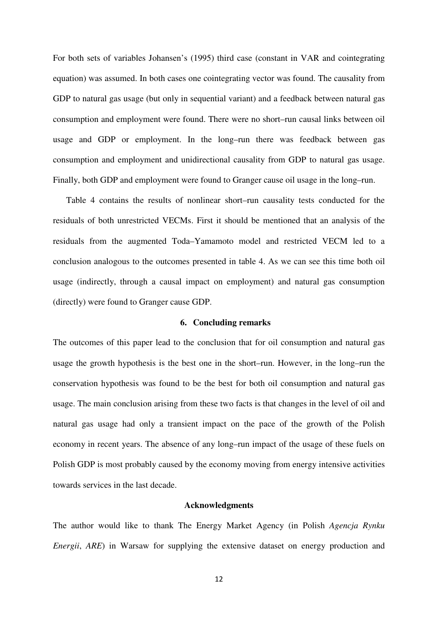For both sets of variables Johansen's (1995) third case (constant in VAR and cointegrating equation) was assumed. In both cases one cointegrating vector was found. The causality from GDP to natural gas usage (but only in sequential variant) and a feedback between natural gas consumption and employment were found. There were no short–run causal links between oil usage and GDP or employment. In the long–run there was feedback between gas consumption and employment and unidirectional causality from GDP to natural gas usage. Finally, both GDP and employment were found to Granger cause oil usage in the long–run.

Table 4 contains the results of nonlinear short–run causality tests conducted for the residuals of both unrestricted VECMs. First it should be mentioned that an analysis of the residuals from the augmented Toda–Yamamoto model and restricted VECM led to a conclusion analogous to the outcomes presented in table 4. As we can see this time both oil usage (indirectly, through a causal impact on employment) and natural gas consumption (directly) were found to Granger cause GDP.

### **6. Concluding remarks**

The outcomes of this paper lead to the conclusion that for oil consumption and natural gas usage the growth hypothesis is the best one in the short–run. However, in the long–run the conservation hypothesis was found to be the best for both oil consumption and natural gas usage. The main conclusion arising from these two facts is that changes in the level of oil and natural gas usage had only a transient impact on the pace of the growth of the Polish economy in recent years. The absence of any long–run impact of the usage of these fuels on Polish GDP is most probably caused by the economy moving from energy intensive activities towards services in the last decade.

#### **Acknowledgments**

The author would like to thank The Energy Market Agency (in Polish *Agencja Rynku Energii*, *ARE*) in Warsaw for supplying the extensive dataset on energy production and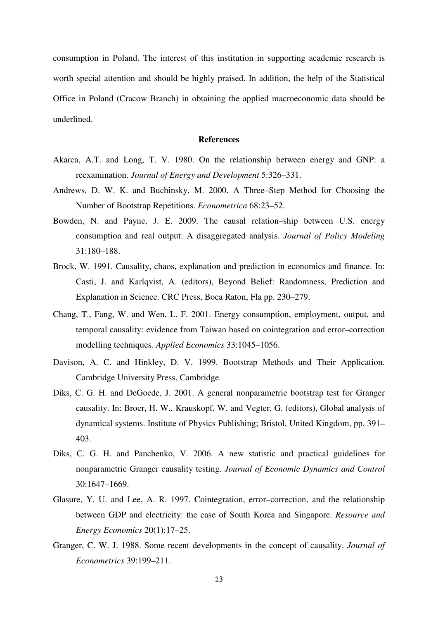consumption in Poland. The interest of this institution in supporting academic research is worth special attention and should be highly praised. In addition, the help of the Statistical Office in Poland (Cracow Branch) in obtaining the applied macroeconomic data should be underlined.

#### **References**

- Akarca, A.T. and Long, T. V. 1980. On the relationship between energy and GNP: a reexamination. *Journal of Energy and Development* 5:326–331.
- Andrews, D. W. K. and Buchinsky, M. 2000. A Three–Step Method for Choosing the Number of Bootstrap Repetitions. *Econometrica* 68:23–52.
- Bowden, N. and Payne, J. E. 2009. The causal relation–ship between U.S. energy consumption and real output: A disaggregated analysis. *Journal of Policy Modeling* 31:180–188.
- Brock, W. 1991. Causality, chaos, explanation and prediction in economics and finance. In: Casti, J. and Karlqvist, A. (editors), Beyond Belief: Randomness, Prediction and Explanation in Science. CRC Press, Boca Raton, Fla pp. 230–279.
- Chang, T., Fang, W. and Wen, L. F. 2001. Energy consumption, employment, output, and temporal causality: evidence from Taiwan based on cointegration and error–correction modelling techniques*. Applied Economics* 33:1045–1056.
- Davison, A. C. and Hinkley, D. V. 1999. Bootstrap Methods and Their Application. Cambridge University Press, Cambridge.
- Diks, C. G. H. and DeGoede, J. 2001. A general nonparametric bootstrap test for Granger causality. In: Broer, H. W., Krauskopf, W. and Vegter, G. (editors), Global analysis of dynamical systems. Institute of Physics Publishing; Bristol, United Kingdom, pp. 391– 403.
- Diks, C. G. H. and Panchenko, V. 2006. A new statistic and practical guidelines for nonparametric Granger causality testing. *Journal of Economic Dynamics and Control* 30:1647–1669.
- Glasure, Y. U. and Lee, A. R. 1997. Cointegration, error–correction, and the relationship between GDP and electricity: the case of South Korea and Singapore. *Resource and Energy Economics* 20(1):17–25.
- Granger, C. W. J. 1988. Some recent developments in the concept of causality. *Journal of Econometrics* 39:199–211.